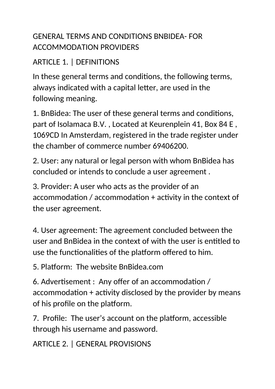# GENERAL TERMS AND CONDITIONS BNBIDEA- FOR ACCOMMODATION PROVIDERS

# ARTICLE 1. | DEFINITIONS

In these general terms and conditions, the following terms, always indicated with a capital letter, are used in the following meaning.

1. BnBidea: The user of these general terms and conditions, part of Isolamaca B.V. , Located at Keurenplein 41, Box 84 E , 1069CD In Amsterdam, registered in the trade register under the chamber of commerce number 69406200.

2. User: any natural or legal person with whom BnBidea has concluded or intends to conclude a user agreement .

3. Provider: A user who acts as the provider of an accommodation / accommodation + activity in the context of the user agreement.

4. User agreement: The agreement concluded between the user and BnBidea in the context of with the user is entitled to use the functionalities of the platform offered to him.

5. Platform: The website BnBidea.com

6. Advertisement : Any offer of an accommodation / accommodation + activity disclosed by the provider by means of his profile on the platform.

7. Profile: The user's account on the platform, accessible through his username and password.

ARTICLE 2. | GENERAL PROVISIONS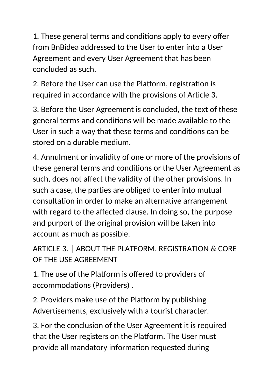1. These general terms and conditions apply to every offer from BnBidea addressed to the User to enter into a User Agreement and every User Agreement that has been concluded as such.

2. Before the User can use the Platform, registration is required in accordance with the provisions of Article 3.

3. Before the User Agreement is concluded, the text of these general terms and conditions will be made available to the User in such a way that these terms and conditions can be stored on a durable medium.

4. Annulment or invalidity of one or more of the provisions of these general terms and conditions or the User Agreement as such, does not affect the validity of the other provisions. In such a case, the parties are obliged to enter into mutual consultation in order to make an alternative arrangement with regard to the affected clause. In doing so, the purpose and purport of the original provision will be taken into account as much as possible.

ARTICLE 3. | ABOUT THE PLATFORM, REGISTRATION & CORE OF THE USE AGREEMENT

1. The use of the Platform is offered to providers of accommodations (Providers) .

2. Providers make use of the Platform by publishing Advertisements, exclusively with a tourist character.

3. For the conclusion of the User Agreement it is required that the User registers on the Platform. The User must provide all mandatory information requested during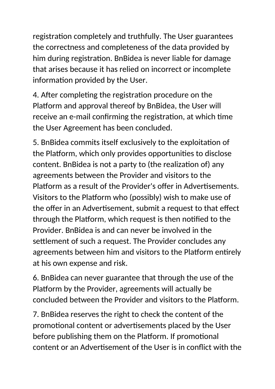registration completely and truthfully. The User guarantees the correctness and completeness of the data provided by him during registration. BnBidea is never liable for damage that arises because it has relied on incorrect or incomplete information provided by the User.

4. After completing the registration procedure on the Platform and approval thereof by BnBidea, the User will receive an e-mail confirming the registration, at which time the User Agreement has been concluded.

5. BnBidea commits itself exclusively to the exploitation of the Platform, which only provides opportunities to disclose content. BnBidea is not a party to (the realization of) any agreements between the Provider and visitors to the Platform as a result of the Provider's offer in Advertisements. Visitors to the Platform who (possibly) wish to make use of the offer in an Advertisement, submit a request to that effect through the Platform, which request is then notified to the Provider. BnBidea is and can never be involved in the settlement of such a request. The Provider concludes any agreements between him and visitors to the Platform entirely at his own expense and risk.

6. BnBidea can never guarantee that through the use of the Platform by the Provider, agreements will actually be concluded between the Provider and visitors to the Platform.

7. BnBidea reserves the right to check the content of the promotional content or advertisements placed by the User before publishing them on the Platform. If promotional content or an Advertisement of the User is in conflict with the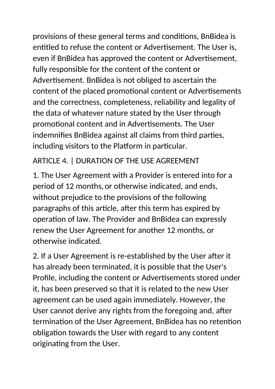provisions of these general terms and conditions, BnBidea is entitled to refuse the content or Advertisement. The User is, even if BnBidea has approved the content or Advertisement, fully responsible for the content of the content or Advertisement. BnBidea is not obliged to ascertain the content of the placed promotional content or Advertisements and the correctness, completeness, reliability and legality of the data of whatever nature stated by the User through promotional content and in Advertisements. The User indemnifies BnBidea against all claims from third parties, including visitors to the Platform in particular.

#### ARTICLE 4. | DURATION OF THE USE AGREEMENT

1. The User Agreement with a Provider is entered into for a period of 12 months, or otherwise indicated, and ends, without prejudice to the provisions of the following paragraphs of this article, after this term has expired by operation of law. The Provider and BnBidea can expressly renew the User Agreement for another 12 months, or otherwise indicated.

2. If a User Agreement is re-established by the User after it has already been terminated, it is possible that the User's Profile, including the content or Advertisements stored under it, has been preserved so that it is related to the new User agreement can be used again immediately. However, the User cannot derive any rights from the foregoing and, after termination of the User Agreement, BnBidea has no retention obligation towards the User with regard to any content originating from the User.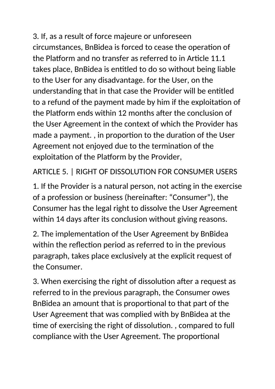3. If, as a result of force majeure or unforeseen circumstances, BnBidea is forced to cease the operation of the Platform and no transfer as referred to in Article 11.1 takes place, BnBidea is entitled to do so without being liable to the User for any disadvantage. for the User, on the understanding that in that case the Provider will be entitled to a refund of the payment made by him if the exploitation of the Platform ends within 12 months after the conclusion of the User Agreement in the context of which the Provider has made a payment. , in proportion to the duration of the User Agreement not enjoyed due to the termination of the exploitation of the Platform by the Provider,

ARTICLE 5. | RIGHT OF DISSOLUTION FOR CONSUMER USERS

1. If the Provider is a natural person, not acting in the exercise of a profession or business (hereinafter: "Consumer"), the Consumer has the legal right to dissolve the User Agreement within 14 days after its conclusion without giving reasons.

2. The implementation of the User Agreement by BnBidea within the reflection period as referred to in the previous paragraph, takes place exclusively at the explicit request of the Consumer.

3. When exercising the right of dissolution after a request as referred to in the previous paragraph, the Consumer owes BnBidea an amount that is proportional to that part of the User Agreement that was complied with by BnBidea at the time of exercising the right of dissolution. , compared to full compliance with the User Agreement. The proportional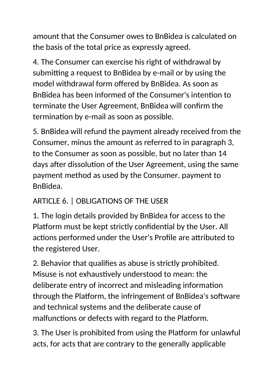amount that the Consumer owes to BnBidea is calculated on the basis of the total price as expressly agreed.

4. The Consumer can exercise his right of withdrawal by submitting a request to BnBidea by e-mail or by using the model withdrawal form offered by BnBidea. As soon as BnBidea has been informed of the Consumer's intention to terminate the User Agreement, BnBidea will confirm the termination by e-mail as soon as possible.

5. BnBidea will refund the payment already received from the Consumer, minus the amount as referred to in paragraph 3, to the Consumer as soon as possible, but no later than 14 days after dissolution of the User Agreement, using the same payment method as used by the Consumer. payment to BnBidea.

# ARTICLE 6. | OBLIGATIONS OF THE USER

1. The login details provided by BnBidea for access to the Platform must be kept strictly confidential by the User. All actions performed under the User's Profile are attributed to the registered User.

2. Behavior that qualifies as abuse is strictly prohibited. Misuse is not exhaustively understood to mean: the deliberate entry of incorrect and misleading information through the Platform, the infringement of BnBidea's software and technical systems and the deliberate cause of malfunctions or defects with regard to the Platform.

3. The User is prohibited from using the Platform for unlawful acts, for acts that are contrary to the generally applicable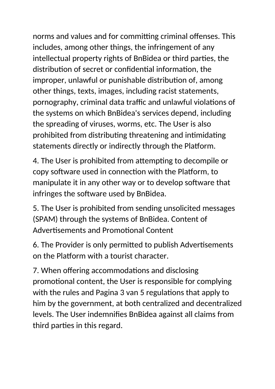norms and values and for committing criminal offenses. This includes, among other things, the infringement of any intellectual property rights of BnBidea or third parties, the distribution of secret or confidential information, the improper, unlawful or punishable distribution of, among other things, texts, images, including racist statements, pornography, criminal data traffic and unlawful violations of the systems on which BnBidea's services depend, including the spreading of viruses, worms, etc. The User is also prohibited from distributing threatening and intimidating statements directly or indirectly through the Platform.

4. The User is prohibited from attempting to decompile or copy software used in connection with the Platform, to manipulate it in any other way or to develop software that infringes the software used by BnBidea.

5. The User is prohibited from sending unsolicited messages (SPAM) through the systems of BnBidea. Content of Advertisements and Promotional Content

6. The Provider is only permitted to publish Advertisements on the Platform with a tourist character.

7. When offering accommodations and disclosing promotional content, the User is responsible for complying with the rules and Pagina 3 van 5 regulations that apply to him by the government, at both centralized and decentralized levels. The User indemnifies BnBidea against all claims from third parties in this regard.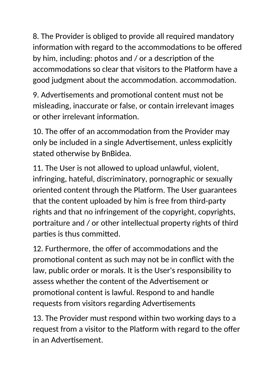8. The Provider is obliged to provide all required mandatory information with regard to the accommodations to be offered by him, including: photos and / or a description of the accommodations so clear that visitors to the Platform have a good judgment about the accommodation. accommodation.

9. Advertisements and promotional content must not be misleading, inaccurate or false, or contain irrelevant images or other irrelevant information.

10. The offer of an accommodation from the Provider may only be included in a single Advertisement, unless explicitly stated otherwise by BnBidea.

11. The User is not allowed to upload unlawful, violent, infringing, hateful, discriminatory, pornographic or sexually oriented content through the Platform. The User guarantees that the content uploaded by him is free from third-party rights and that no infringement of the copyright, copyrights, portraiture and / or other intellectual property rights of third parties is thus committed.

12. Furthermore, the offer of accommodations and the promotional content as such may not be in conflict with the law, public order or morals. It is the User's responsibility to assess whether the content of the Advertisement or promotional content is lawful. Respond to and handle requests from visitors regarding Advertisements

13. The Provider must respond within two working days to a request from a visitor to the Platform with regard to the offer in an Advertisement.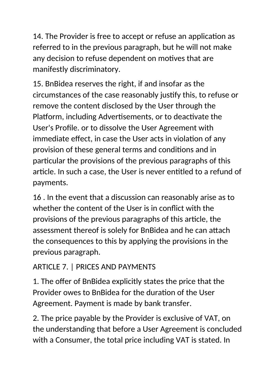14. The Provider is free to accept or refuse an application as referred to in the previous paragraph, but he will not make any decision to refuse dependent on motives that are manifestly discriminatory.

15. BnBidea reserves the right, if and insofar as the circumstances of the case reasonably justify this, to refuse or remove the content disclosed by the User through the Platform, including Advertisements, or to deactivate the User's Profile. or to dissolve the User Agreement with immediate effect, in case the User acts in violation of any provision of these general terms and conditions and in particular the provisions of the previous paragraphs of this article. In such a case, the User is never entitled to a refund of payments.

16 . In the event that a discussion can reasonably arise as to whether the content of the User is in conflict with the provisions of the previous paragraphs of this article, the assessment thereof is solely for BnBidea and he can attach the consequences to this by applying the provisions in the previous paragraph.

# ARTICLE 7. | PRICES AND PAYMENTS

1. The offer of BnBidea explicitly states the price that the Provider owes to BnBidea for the duration of the User Agreement. Payment is made by bank transfer.

2. The price payable by the Provider is exclusive of VAT, on the understanding that before a User Agreement is concluded with a Consumer, the total price including VAT is stated. In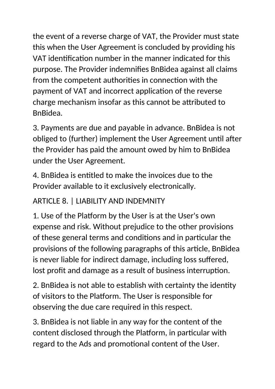the event of a reverse charge of VAT, the Provider must state this when the User Agreement is concluded by providing his VAT identification number in the manner indicated for this purpose. The Provider indemnifies BnBidea against all claims from the competent authorities in connection with the payment of VAT and incorrect application of the reverse charge mechanism insofar as this cannot be attributed to BnBidea.

3. Payments are due and payable in advance. BnBidea is not obliged to (further) implement the User Agreement until after the Provider has paid the amount owed by him to BnBidea under the User Agreement.

4. BnBidea is entitled to make the invoices due to the Provider available to it exclusively electronically.

# ARTICLE 8. | LIABILITY AND INDEMNITY

1. Use of the Platform by the User is at the User's own expense and risk. Without prejudice to the other provisions of these general terms and conditions and in particular the provisions of the following paragraphs of this article, BnBidea is never liable for indirect damage, including loss suffered, lost profit and damage as a result of business interruption.

2. BnBidea is not able to establish with certainty the identity of visitors to the Platform. The User is responsible for observing the due care required in this respect.

3. BnBidea is not liable in any way for the content of the content disclosed through the Platform, in particular with regard to the Ads and promotional content of the User.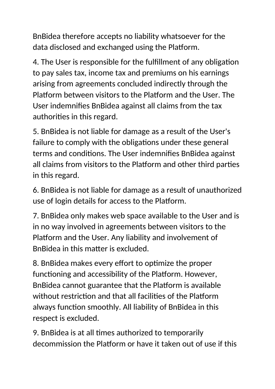BnBidea therefore accepts no liability whatsoever for the data disclosed and exchanged using the Platform.

4. The User is responsible for the fulfillment of any obligation to pay sales tax, income tax and premiums on his earnings arising from agreements concluded indirectly through the Platform between visitors to the Platform and the User. The User indemnifies BnBidea against all claims from the tax authorities in this regard.

5. BnBidea is not liable for damage as a result of the User's failure to comply with the obligations under these general terms and conditions. The User indemnifies BnBidea against all claims from visitors to the Platform and other third parties in this regard.

6. BnBidea is not liable for damage as a result of unauthorized use of login details for access to the Platform.

7. BnBidea only makes web space available to the User and is in no way involved in agreements between visitors to the Platform and the User. Any liability and involvement of BnBidea in this matter is excluded.

8. BnBidea makes every effort to optimize the proper functioning and accessibility of the Platform. However, BnBidea cannot guarantee that the Platform is available without restriction and that all facilities of the Platform always function smoothly. All liability of BnBidea in this respect is excluded.

9. BnBidea is at all times authorized to temporarily decommission the Platform or have it taken out of use if this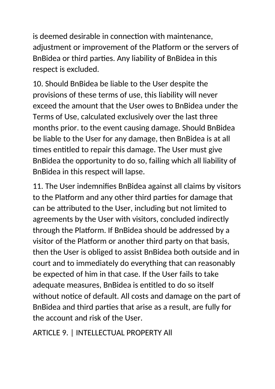is deemed desirable in connection with maintenance, adjustment or improvement of the Platform or the servers of BnBidea or third parties. Any liability of BnBidea in this respect is excluded.

10. Should BnBidea be liable to the User despite the provisions of these terms of use, this liability will never exceed the amount that the User owes to BnBidea under the Terms of Use, calculated exclusively over the last three months prior. to the event causing damage. Should BnBidea be liable to the User for any damage, then BnBidea is at all times entitled to repair this damage. The User must give BnBidea the opportunity to do so, failing which all liability of BnBidea in this respect will lapse.

11. The User indemnifies BnBidea against all claims by visitors to the Platform and any other third parties for damage that can be attributed to the User, including but not limited to agreements by the User with visitors, concluded indirectly through the Platform. If BnBidea should be addressed by a visitor of the Platform or another third party on that basis, then the User is obliged to assist BnBidea both outside and in court and to immediately do everything that can reasonably be expected of him in that case. If the User fails to take adequate measures, BnBidea is entitled to do so itself without notice of default. All costs and damage on the part of BnBidea and third parties that arise as a result, are fully for the account and risk of the User.

ARTICLE 9. | INTELLECTUAL PROPERTY All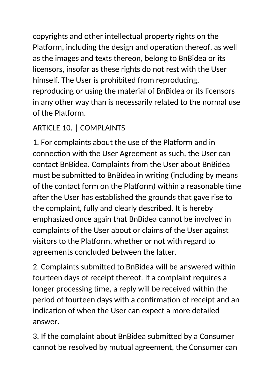copyrights and other intellectual property rights on the Platform, including the design and operation thereof, as well as the images and texts thereon, belong to BnBidea or its licensors, insofar as these rights do not rest with the User himself. The User is prohibited from reproducing, reproducing or using the material of BnBidea or its licensors in any other way than is necessarily related to the normal use of the Platform.

# ARTICLE 10. | COMPLAINTS

1. For complaints about the use of the Platform and in connection with the User Agreement as such, the User can contact BnBidea. Complaints from the User about BnBidea must be submitted to BnBidea in writing (including by means of the contact form on the Platform) within a reasonable time after the User has established the grounds that gave rise to the complaint, fully and clearly described. It is hereby emphasized once again that BnBidea cannot be involved in complaints of the User about or claims of the User against visitors to the Platform, whether or not with regard to agreements concluded between the latter.

2. Complaints submitted to BnBidea will be answered within fourteen days of receipt thereof. If a complaint requires a longer processing time, a reply will be received within the period of fourteen days with a confirmation of receipt and an indication of when the User can expect a more detailed answer.

3. If the complaint about BnBidea submitted by a Consumer cannot be resolved by mutual agreement, the Consumer can